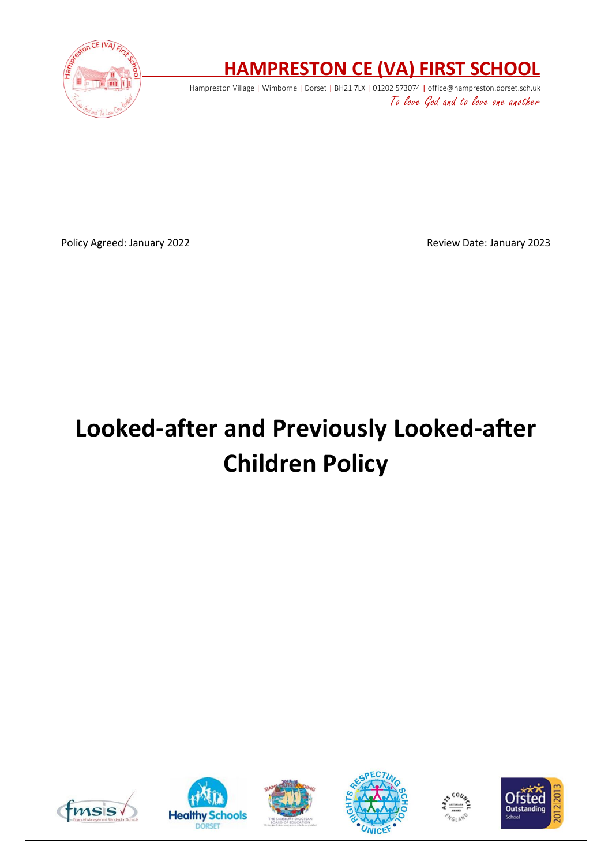

# **HAMPRESTON CE (VA) FIRST SCHOOL**

Hampreston Village | Wimborne | Dorset | BH21 7LX | 01202 573074 | office@hampreston.dorset.sch.uk To love God and to love one another

Policy Agreed: January 2022 **Review Date: January 2023** 

# **Looked-after and Previously Looked-after Children Policy**











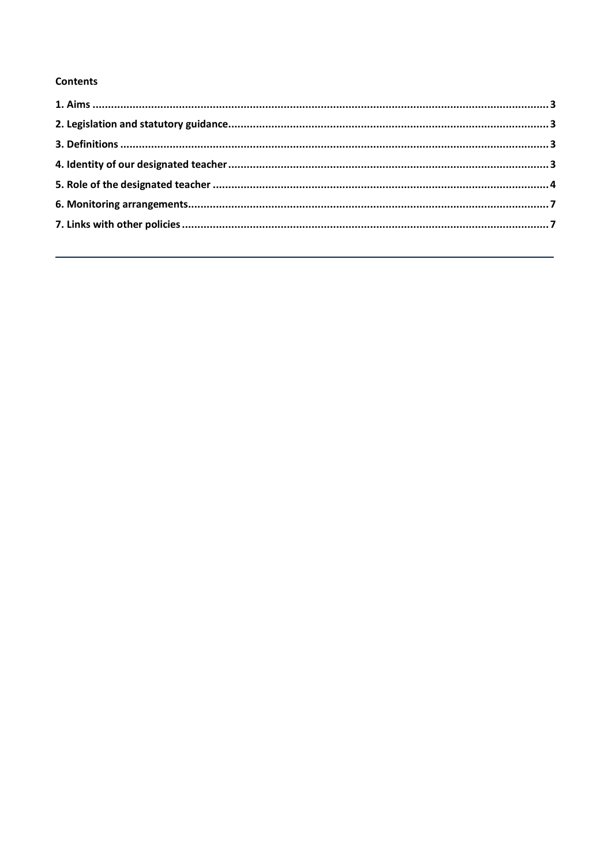#### **Contents**

<span id="page-1-0"></span>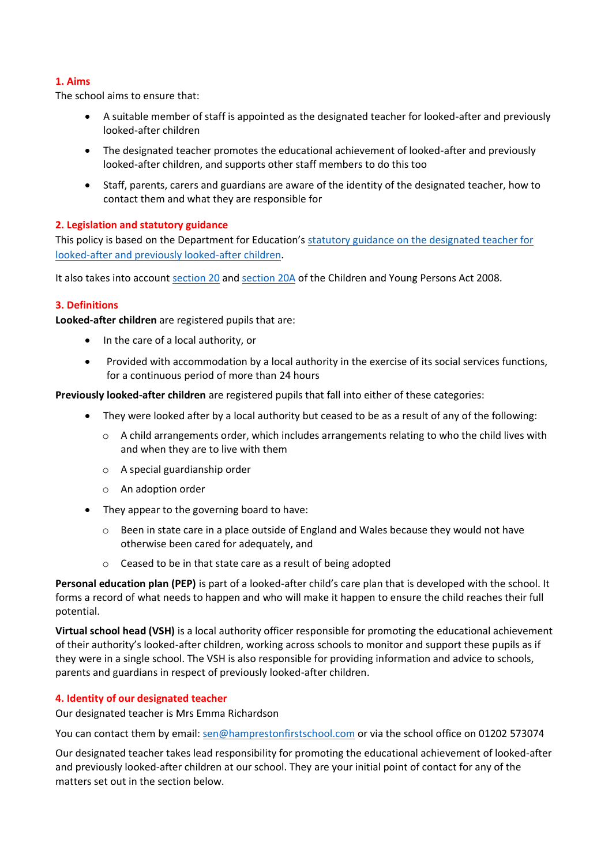# **1. Aims**

The school aims to ensure that:

- A suitable member of staff is appointed as the designated teacher for looked-after and previously looked-after children
- The designated teacher promotes the educational achievement of looked-after and previously looked-after children, and supports other staff members to do this too
- Staff, parents, carers and guardians are aware of the identity of the designated teacher, how to contact them and what they are responsible for

# <span id="page-2-0"></span>**2. Legislation and statutory guidance**

This policy is based on the Department for Education's statutory guidance on the designated teacher for [looked-after and previously looked-after children.](https://www.gov.uk/government/publications/designated-teacher-for-looked-after-children)

It also takes into account [section 20](http://www.legislation.gov.uk/ukpga/2008/23/section/20) an[d section 20A](http://www.legislation.gov.uk/ukpga/2008/23/section/20A) of the Children and Young Persons Act 2008.

# <span id="page-2-1"></span>**3. Definitions**

**Looked-after children** are registered pupils that are:

- In the care of a local authority, or
- Provided with accommodation by a local authority in the exercise of its social services functions, for a continuous period of more than 24 hours

**Previously looked-after children** are registered pupils that fall into either of these categories:

- They were looked after by a local authority but ceased to be as a result of any of the following:
	- $\circ$  A child arrangements order, which includes arrangements relating to who the child lives with and when they are to live with them
	- o A special guardianship order
	- o An adoption order
- They appear to the governing board to have:
	- o Been in state care in a place outside of England and Wales because they would not have otherwise been cared for adequately, and
	- o Ceased to be in that state care as a result of being adopted

**Personal education plan (PEP)** is part of a looked-after child's care plan that is developed with the school. It forms a record of what needs to happen and who will make it happen to ensure the child reaches their full potential.

**Virtual school head (VSH)** is a local authority officer responsible for promoting the educational achievement of their authority's looked-after children, working across schools to monitor and support these pupils as if they were in a single school. The VSH is also responsible for providing information and advice to schools, parents and guardians in respect of previously looked-after children.

#### <span id="page-2-2"></span>**4. Identity of our designated teacher**

Our designated teacher is Mrs Emma Richardson

You can contact them by email: [sen@hamprestonfirstschool.com](mailto:sen@hamprestonfirstschool.com) or via the school office on 01202 573074

Our designated teacher takes lead responsibility for promoting the educational achievement of looked-after and previously looked-after children at our school. They are your initial point of contact for any of the matters set out in the section below.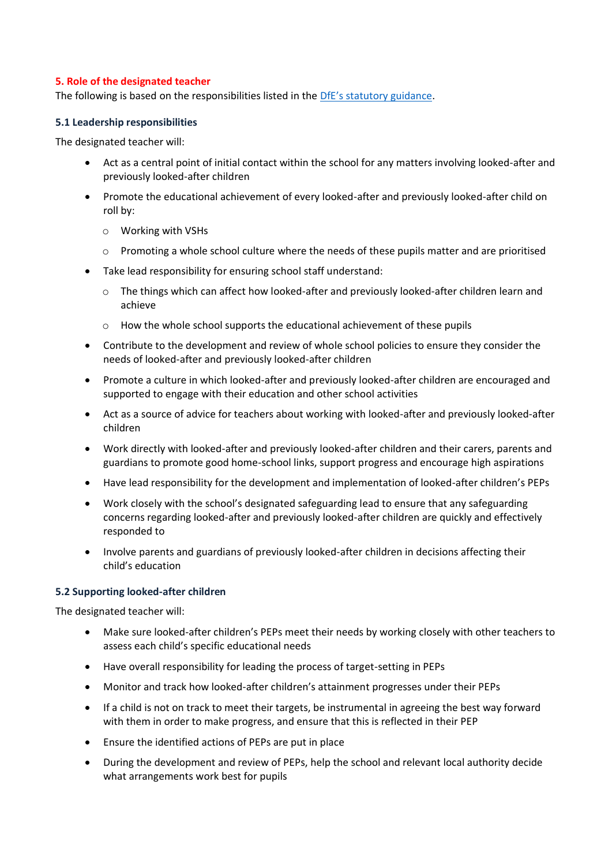# <span id="page-3-0"></span>**5. Role of the designated teacher**

The following is based on the responsibilities listed in the [DfE's statutory guidance](https://www.gov.uk/government/publications/designated-teacher-for-looked-after-children).

#### **5.1 Leadership responsibilities**

The designated teacher will:

- Act as a central point of initial contact within the school for any matters involving looked-after and previously looked-after children
- Promote the educational achievement of every looked-after and previously looked-after child on roll by:
	- o Working with VSHs
	- $\circ$  Promoting a whole school culture where the needs of these pupils matter and are prioritised
- Take lead responsibility for ensuring school staff understand:
	- $\circ$  The things which can affect how looked-after and previously looked-after children learn and achieve
	- o How the whole school supports the educational achievement of these pupils
- Contribute to the development and review of whole school policies to ensure they consider the needs of looked-after and previously looked-after children
- Promote a culture in which looked-after and previously looked-after children are encouraged and supported to engage with their education and other school activities
- Act as a source of advice for teachers about working with looked-after and previously looked-after children
- Work directly with looked-after and previously looked-after children and their carers, parents and guardians to promote good home-school links, support progress and encourage high aspirations
- Have lead responsibility for the development and implementation of looked-after children's PEPs
- Work closely with the school's designated safeguarding lead to ensure that any safeguarding concerns regarding looked-after and previously looked-after children are quickly and effectively responded to
- Involve parents and guardians of previously looked-after children in decisions affecting their child's education

#### **5.2 Supporting looked-after children**

The designated teacher will:

- Make sure looked-after children's PEPs meet their needs by working closely with other teachers to assess each child's specific educational needs
- Have overall responsibility for leading the process of target-setting in PEPs
- Monitor and track how looked-after children's attainment progresses under their PEPs
- If a child is not on track to meet their targets, be instrumental in agreeing the best way forward with them in order to make progress, and ensure that this is reflected in their PEP
- Ensure the identified actions of PEPs are put in place
- During the development and review of PEPs, help the school and relevant local authority decide what arrangements work best for pupils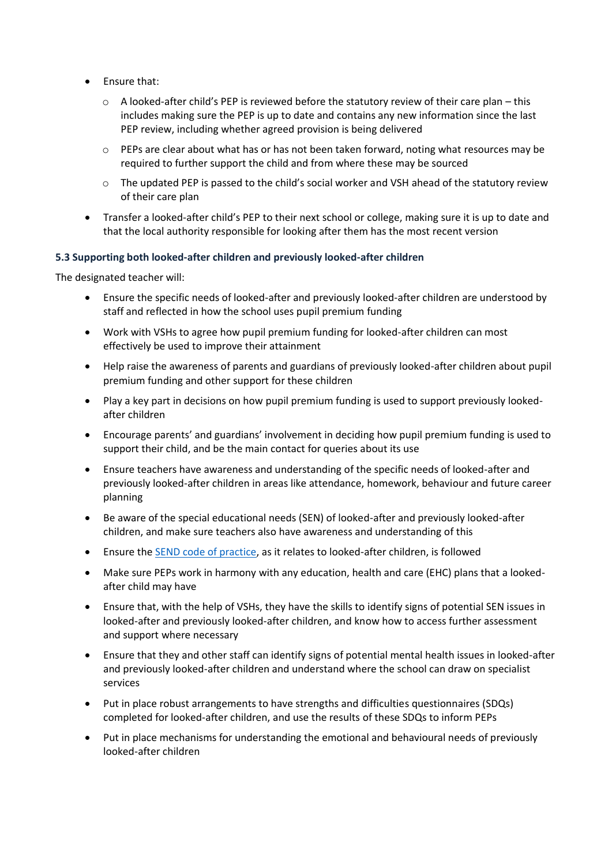- Ensure that:
	- $\circ$  A looked-after child's PEP is reviewed before the statutory review of their care plan this includes making sure the PEP is up to date and contains any new information since the last PEP review, including whether agreed provision is being delivered
	- $\circ$  PEPs are clear about what has or has not been taken forward, noting what resources may be required to further support the child and from where these may be sourced
	- o The updated PEP is passed to the child's social worker and VSH ahead of the statutory review of their care plan
- Transfer a looked-after child's PEP to their next school or college, making sure it is up to date and that the local authority responsible for looking after them has the most recent version

#### **5.3 Supporting both looked-after children and previously looked-after children**

The designated teacher will:

- Ensure the specific needs of looked-after and previously looked-after children are understood by staff and reflected in how the school uses pupil premium funding
- Work with VSHs to agree how pupil premium funding for looked-after children can most effectively be used to improve their attainment
- Help raise the awareness of parents and guardians of previously looked-after children about pupil premium funding and other support for these children
- Play a key part in decisions on how pupil premium funding is used to support previously lookedafter children
- Encourage parents' and guardians' involvement in deciding how pupil premium funding is used to support their child, and be the main contact for queries about its use
- Ensure teachers have awareness and understanding of the specific needs of looked-after and previously looked-after children in areas like attendance, homework, behaviour and future career planning
- Be aware of the special educational needs (SEN) of looked-after and previously looked-after children, and make sure teachers also have awareness and understanding of this
- Ensure the [SEND code of practice,](https://www.gov.uk/government/publications/send-code-of-practice-0-to-25) as it relates to looked-after children, is followed
- Make sure PEPs work in harmony with any education, health and care (EHC) plans that a lookedafter child may have
- Ensure that, with the help of VSHs, they have the skills to identify signs of potential SEN issues in looked-after and previously looked-after children, and know how to access further assessment and support where necessary
- Ensure that they and other staff can identify signs of potential mental health issues in looked-after and previously looked-after children and understand where the school can draw on specialist services
- Put in place robust arrangements to have strengths and difficulties questionnaires (SDQs) completed for looked-after children, and use the results of these SDQs to inform PEPs
- Put in place mechanisms for understanding the emotional and behavioural needs of previously looked-after children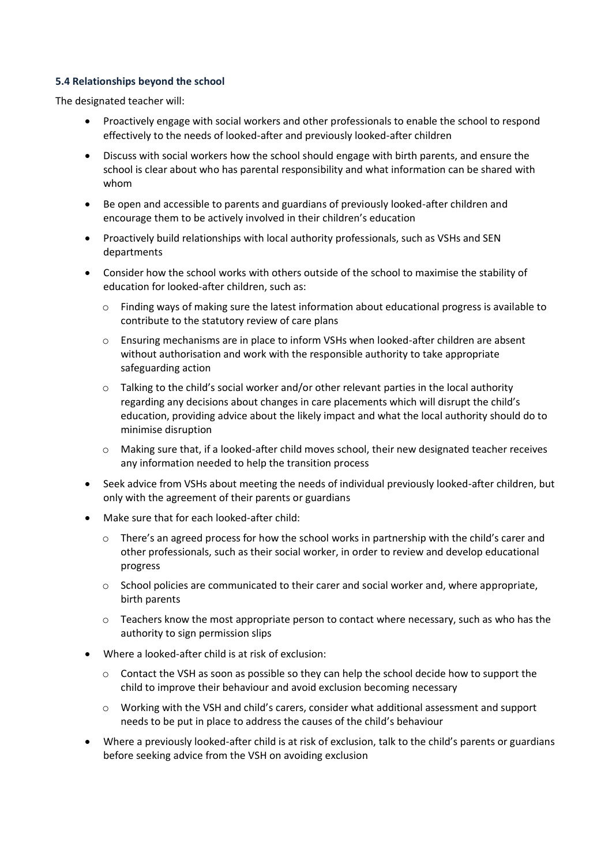#### **5.4 Relationships beyond the school**

The designated teacher will:

- Proactively engage with social workers and other professionals to enable the school to respond effectively to the needs of looked-after and previously looked-after children
- Discuss with social workers how the school should engage with birth parents, and ensure the school is clear about who has parental responsibility and what information can be shared with whom
- Be open and accessible to parents and guardians of previously looked-after children and encourage them to be actively involved in their children's education
- Proactively build relationships with local authority professionals, such as VSHs and SEN departments
- Consider how the school works with others outside of the school to maximise the stability of education for looked-after children, such as:
	- o Finding ways of making sure the latest information about educational progress is available to contribute to the statutory review of care plans
	- o Ensuring mechanisms are in place to inform VSHs when looked-after children are absent without authorisation and work with the responsible authority to take appropriate safeguarding action
	- $\circ$  Talking to the child's social worker and/or other relevant parties in the local authority regarding any decisions about changes in care placements which will disrupt the child's education, providing advice about the likely impact and what the local authority should do to minimise disruption
	- $\circ$  Making sure that, if a looked-after child moves school, their new designated teacher receives any information needed to help the transition process
- Seek advice from VSHs about meeting the needs of individual previously looked-after children, but only with the agreement of their parents or guardians
- Make sure that for each looked-after child:
	- o There's an agreed process for how the school works in partnership with the child's carer and other professionals, such as their social worker, in order to review and develop educational progress
	- o School policies are communicated to their carer and social worker and, where appropriate, birth parents
	- $\circ$  Teachers know the most appropriate person to contact where necessary, such as who has the authority to sign permission slips
- Where a looked-after child is at risk of exclusion:
	- o Contact the VSH as soon as possible so they can help the school decide how to support the child to improve their behaviour and avoid exclusion becoming necessary
	- o Working with the VSH and child's carers, consider what additional assessment and support needs to be put in place to address the causes of the child's behaviour
- Where a previously looked-after child is at risk of exclusion, talk to the child's parents or guardians before seeking advice from the VSH on avoiding exclusion